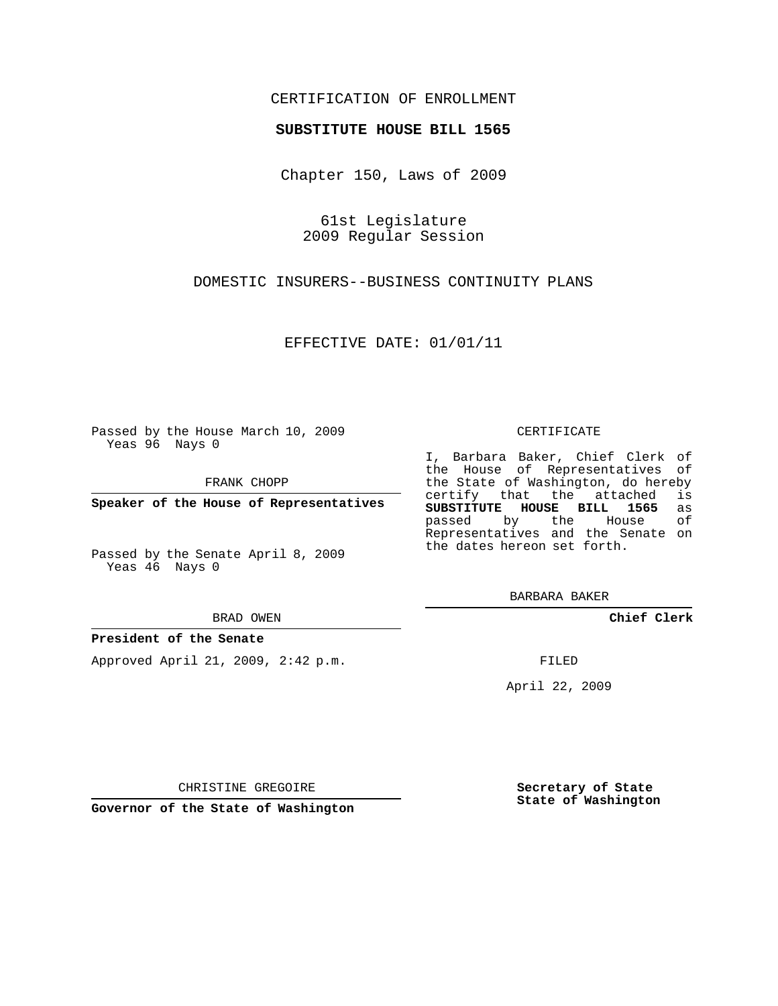### CERTIFICATION OF ENROLLMENT

#### **SUBSTITUTE HOUSE BILL 1565**

Chapter 150, Laws of 2009

61st Legislature 2009 Regular Session

DOMESTIC INSURERS--BUSINESS CONTINUITY PLANS

EFFECTIVE DATE: 01/01/11

Passed by the House March 10, 2009 Yeas 96 Nays 0

FRANK CHOPP

**Speaker of the House of Representatives**

Passed by the Senate April 8, 2009 Yeas 46 Nays 0

BRAD OWEN

#### **President of the Senate**

Approved April 21, 2009, 2:42 p.m.

CERTIFICATE

I, Barbara Baker, Chief Clerk of the House of Representatives of the State of Washington, do hereby<br>certify that the attached is certify that the attached **SUBSTITUTE HOUSE BILL 1565** as passed by the Representatives and the Senate on the dates hereon set forth.

BARBARA BAKER

**Chief Clerk**

FILED

April 22, 2009

**Secretary of State State of Washington**

CHRISTINE GREGOIRE

**Governor of the State of Washington**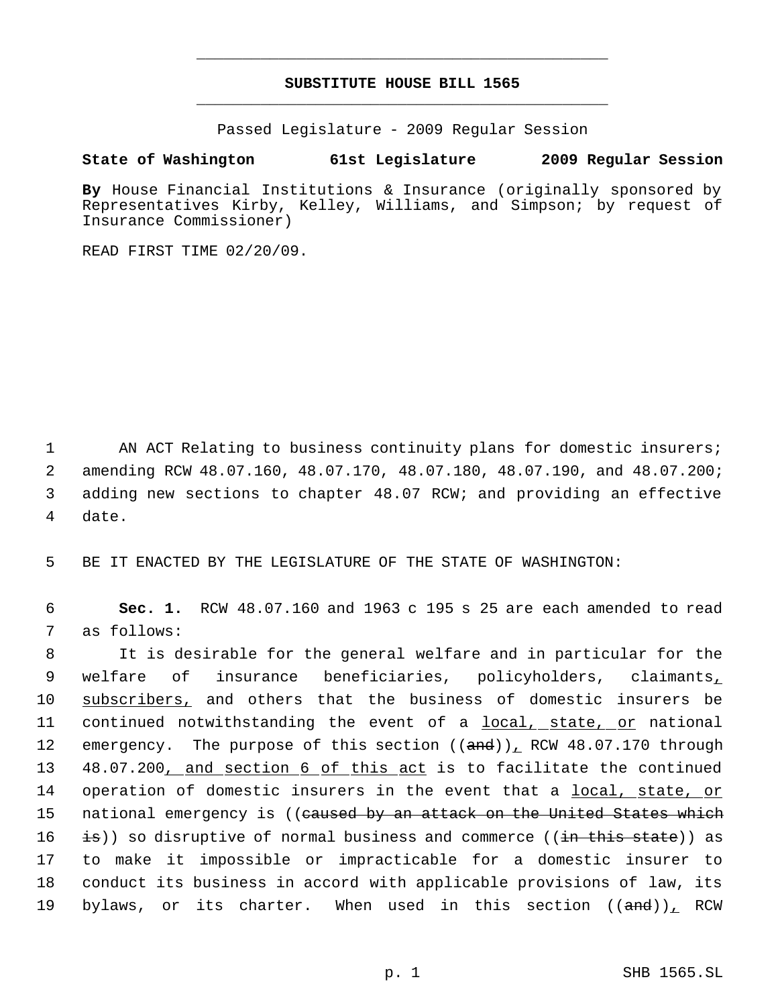# **SUBSTITUTE HOUSE BILL 1565** \_\_\_\_\_\_\_\_\_\_\_\_\_\_\_\_\_\_\_\_\_\_\_\_\_\_\_\_\_\_\_\_\_\_\_\_\_\_\_\_\_\_\_\_\_

\_\_\_\_\_\_\_\_\_\_\_\_\_\_\_\_\_\_\_\_\_\_\_\_\_\_\_\_\_\_\_\_\_\_\_\_\_\_\_\_\_\_\_\_\_

Passed Legislature - 2009 Regular Session

## **State of Washington 61st Legislature 2009 Regular Session**

**By** House Financial Institutions & Insurance (originally sponsored by Representatives Kirby, Kelley, Williams, and Simpson; by request of Insurance Commissioner)

READ FIRST TIME 02/20/09.

1 AN ACT Relating to business continuity plans for domestic insurers; 2 amending RCW 48.07.160, 48.07.170, 48.07.180, 48.07.190, and 48.07.200; 3 adding new sections to chapter 48.07 RCW; and providing an effective 4 date.

5 BE IT ENACTED BY THE LEGISLATURE OF THE STATE OF WASHINGTON:

 6 **Sec. 1.** RCW 48.07.160 and 1963 c 195 s 25 are each amended to read 7 as follows:

 8 It is desirable for the general welfare and in particular for the 9 welfare of insurance beneficiaries, policyholders, claimants, 10 subscribers, and others that the business of domestic insurers be 11 continued notwithstanding the event of a local, state, or national 12 emergency. The purpose of this section ((and)), RCW 48.07.170 through 13 48.07.200, and section 6 of this act is to facilitate the continued 14 operation of domestic insurers in the event that a local, state, or 15 national emergency is ((<del>caused by an attack on the United States which</del> 16 is)) so disruptive of normal business and commerce ((in this state)) as 17 to make it impossible or impracticable for a domestic insurer to 18 conduct its business in accord with applicable provisions of law, its 19 bylaws, or its charter. When used in this section ((and)), RCW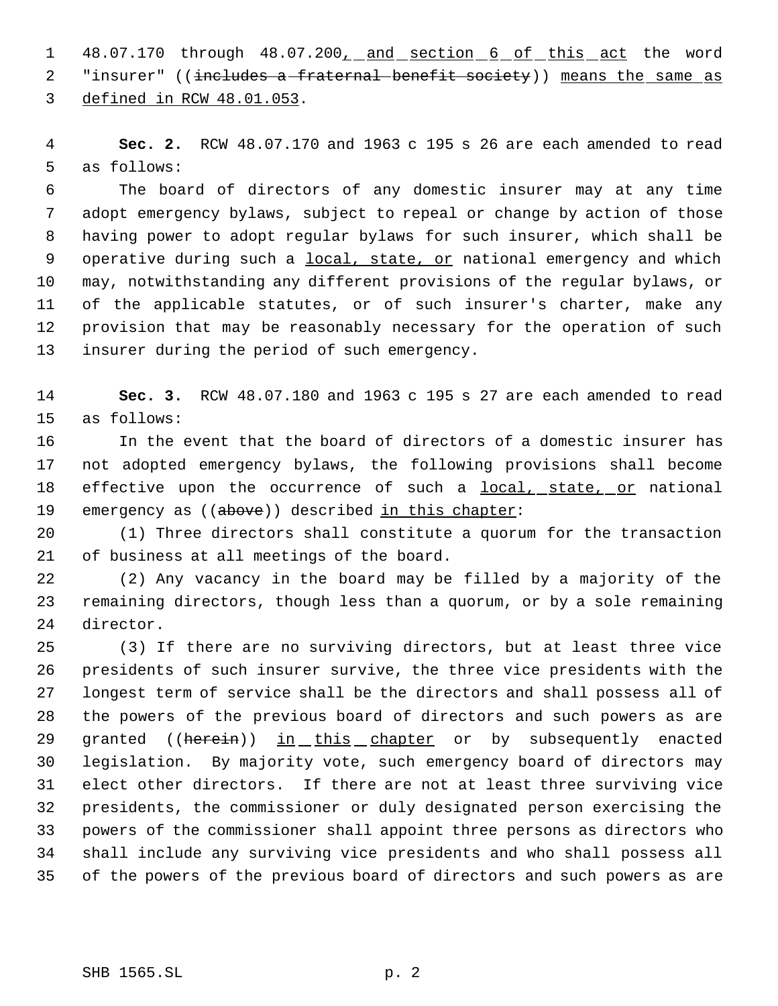1 48.07.170 through 48.07.200<sub>1</sub> and section 6 of this act the word 2 "insurer" ((includes a fraternal benefit society)) means the same as defined in RCW 48.01.053.

 **Sec. 2.** RCW 48.07.170 and 1963 c 195 s 26 are each amended to read as follows:

 The board of directors of any domestic insurer may at any time adopt emergency bylaws, subject to repeal or change by action of those having power to adopt regular bylaws for such insurer, which shall be 9 operative during such a local, state, or national emergency and which may, notwithstanding any different provisions of the regular bylaws, or of the applicable statutes, or of such insurer's charter, make any provision that may be reasonably necessary for the operation of such insurer during the period of such emergency.

 **Sec. 3.** RCW 48.07.180 and 1963 c 195 s 27 are each amended to read as follows:

 In the event that the board of directors of a domestic insurer has not adopted emergency bylaws, the following provisions shall become 18 effective upon the occurrence of such a local, state, or national 19 emergency as ((above)) described in this chapter:

 (1) Three directors shall constitute a quorum for the transaction of business at all meetings of the board.

 (2) Any vacancy in the board may be filled by a majority of the remaining directors, though less than a quorum, or by a sole remaining director.

 (3) If there are no surviving directors, but at least three vice presidents of such insurer survive, the three vice presidents with the longest term of service shall be the directors and shall possess all of the powers of the previous board of directors and such powers as are 29 granted ((herein)) in this chapter or by subsequently enacted legislation. By majority vote, such emergency board of directors may elect other directors. If there are not at least three surviving vice presidents, the commissioner or duly designated person exercising the powers of the commissioner shall appoint three persons as directors who shall include any surviving vice presidents and who shall possess all of the powers of the previous board of directors and such powers as are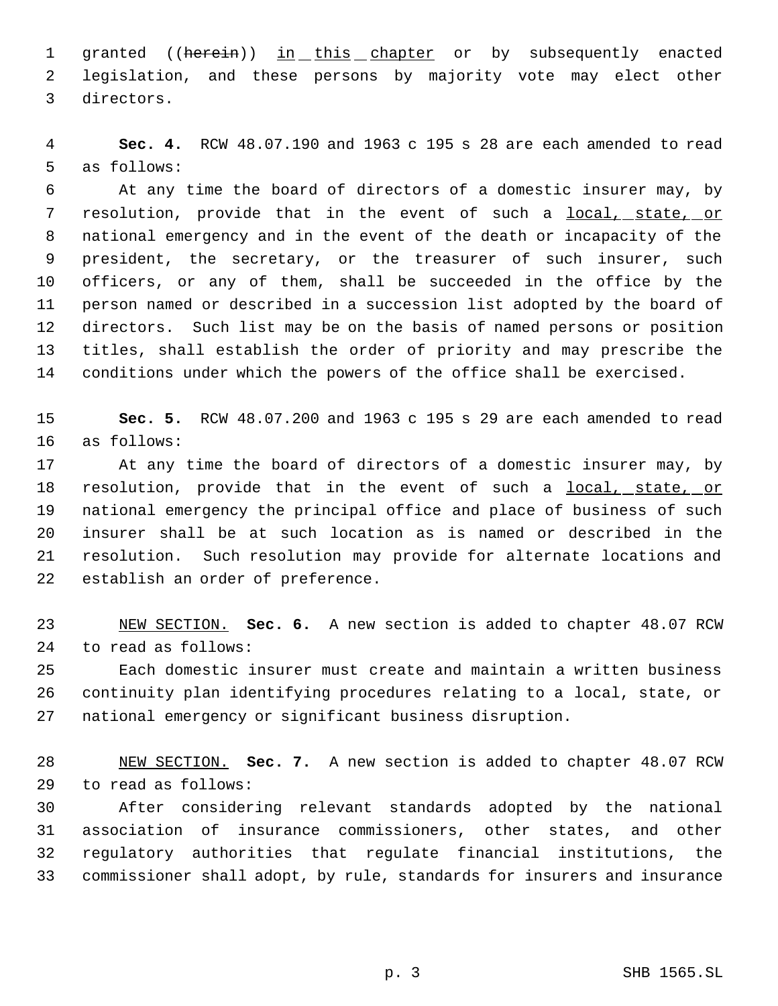1 granted ((herein)) in this chapter or by subsequently enacted legislation, and these persons by majority vote may elect other directors.

 **Sec. 4.** RCW 48.07.190 and 1963 c 195 s 28 are each amended to read as follows:

 At any time the board of directors of a domestic insurer may, by 7 resolution, provide that in the event of such a local, state, or national emergency and in the event of the death or incapacity of the president, the secretary, or the treasurer of such insurer, such officers, or any of them, shall be succeeded in the office by the person named or described in a succession list adopted by the board of directors. Such list may be on the basis of named persons or position titles, shall establish the order of priority and may prescribe the conditions under which the powers of the office shall be exercised.

 **Sec. 5.** RCW 48.07.200 and 1963 c 195 s 29 are each amended to read as follows:

 At any time the board of directors of a domestic insurer may, by 18 resolution, provide that in the event of such a local, state, or national emergency the principal office and place of business of such insurer shall be at such location as is named or described in the resolution. Such resolution may provide for alternate locations and establish an order of preference.

 NEW SECTION. **Sec. 6.** A new section is added to chapter 48.07 RCW to read as follows:

 Each domestic insurer must create and maintain a written business continuity plan identifying procedures relating to a local, state, or national emergency or significant business disruption.

 NEW SECTION. **Sec. 7.** A new section is added to chapter 48.07 RCW to read as follows:

 After considering relevant standards adopted by the national association of insurance commissioners, other states, and other regulatory authorities that regulate financial institutions, the commissioner shall adopt, by rule, standards for insurers and insurance